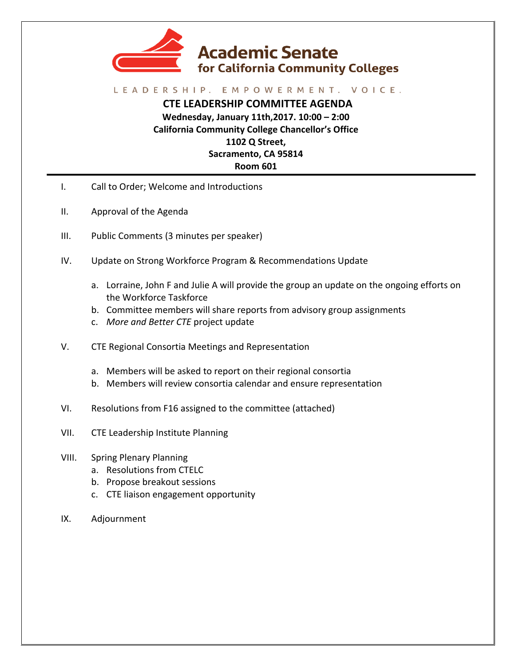

#### LEADERSHIP. EMPOWERMENT. VOICE.

**CTE LEADERSHIP COMMITTEE AGENDA Wednesday, January 11th,2017. 10:00 – 2:00 California Community College Chancellor's Office 1102 Q Street,** Sacramento, CA 95814 **Room 601**

- I. Call to Order; Welcome and Introductions
- II. Approval of the Agenda
- III. Public Comments (3 minutes per speaker)
- IV. Update on Strong Workforce Program & Recommendations Update
	- a. Lorraine, John F and Julie A will provide the group an update on the ongoing efforts on the Workforce Taskforce
	- b. Committee members will share reports from advisory group assignments
	- c. More and Better CTE project update
- V. CTE Regional Consortia Meetings and Representation
	- a. Members will be asked to report on their regional consortia
	- b. Members will review consortia calendar and ensure representation
- VI. Resolutions from F16 assigned to the committee (attached)
- VII. CTE Leadership Institute Planning

#### VIII. Spring Plenary Planning

- a. Resolutions from CTELC
- b. Propose breakout sessions
- c. CTE liaison engagement opportunity
- IX. Adjournment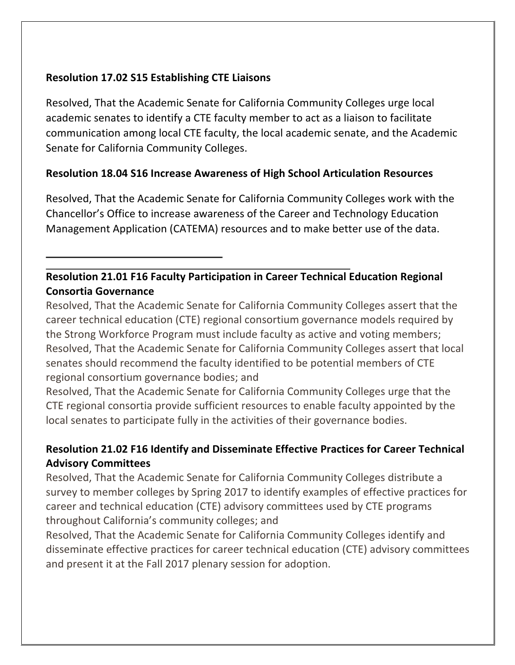## **Resolution 17.02 S15 Establishing CTE Liaisons**

Resolved, That the Academic Senate for California Community Colleges urge local academic senates to identify a CTE faculty member to act as a liaison to facilitate communication among local CTE faculty, the local academic senate, and the Academic Senate for California Community Colleges.

## **Resolution 18.04 S16 Increase Awareness of High School Articulation Resources**

Resolved, That the Academic Senate for California Community Colleges work with the Chancellor's Office to increase awareness of the Career and Technology Education Management Application (CATEMA) resources and to make better use of the data.

# **Resolution 21.01 F16 Faculty Participation in Career Technical Education Regional Consortia Governance**

Resolved, That the Academic Senate for California Community Colleges assert that the career technical education (CTE) regional consortium governance models required by the Strong Workforce Program must include faculty as active and voting members; Resolved, That the Academic Senate for California Community Colleges assert that local senates should recommend the faculty identified to be potential members of CTE regional consortium governance bodies; and

Resolved, That the Academic Senate for California Community Colleges urge that the CTE regional consortia provide sufficient resources to enable faculty appointed by the local senates to participate fully in the activities of their governance bodies.

## **Resolution 21.02 F16 Identify and Disseminate Effective Practices for Career Technical Advisory Committees**

Resolved, That the Academic Senate for California Community Colleges distribute a survey to member colleges by Spring 2017 to identify examples of effective practices for career and technical education (CTE) advisory committees used by CTE programs throughout California's community colleges; and

Resolved, That the Academic Senate for California Community Colleges identify and disseminate effective practices for career technical education (CTE) advisory committees and present it at the Fall 2017 plenary session for adoption.